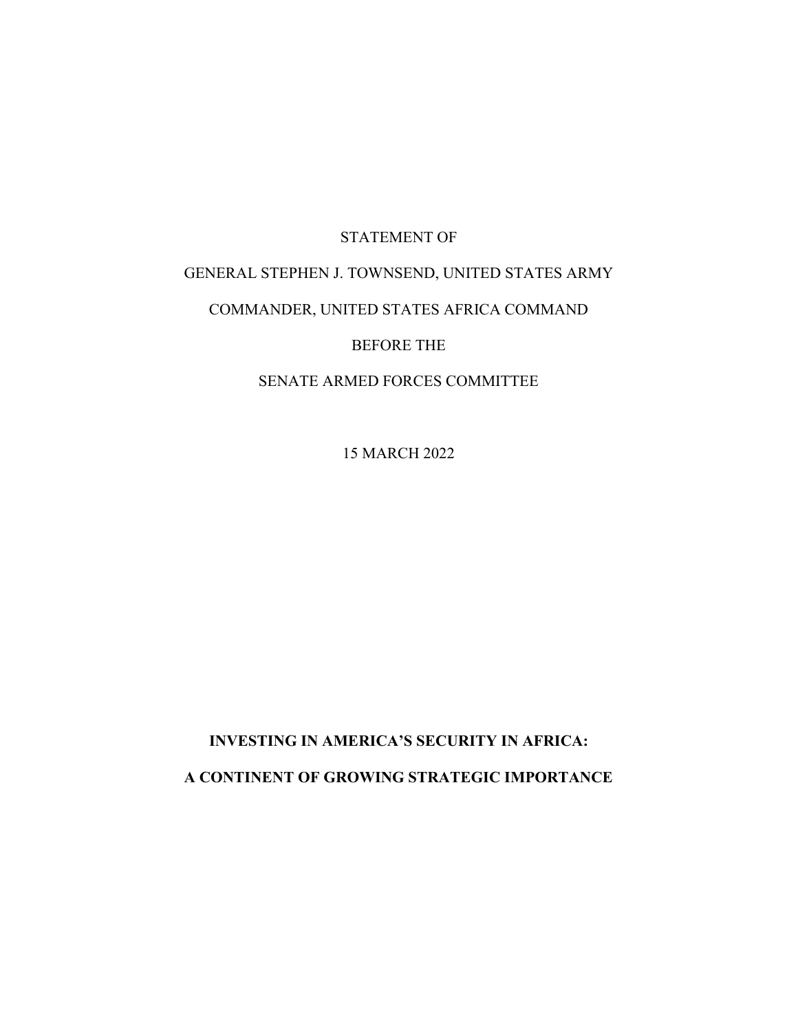# STATEMENT OF

# GENERAL STEPHEN J. TOWNSEND, UNITED STATES ARMY

# COMMANDER, UNITED STATES AFRICA COMMAND

BEFORE THE

SENATE ARMED FORCES COMMITTEE

15 MARCH 2022

**INVESTING IN AMERICA'S SECURITY IN AFRICA: A CONTINENT OF GROWING STRATEGIC IMPORTANCE**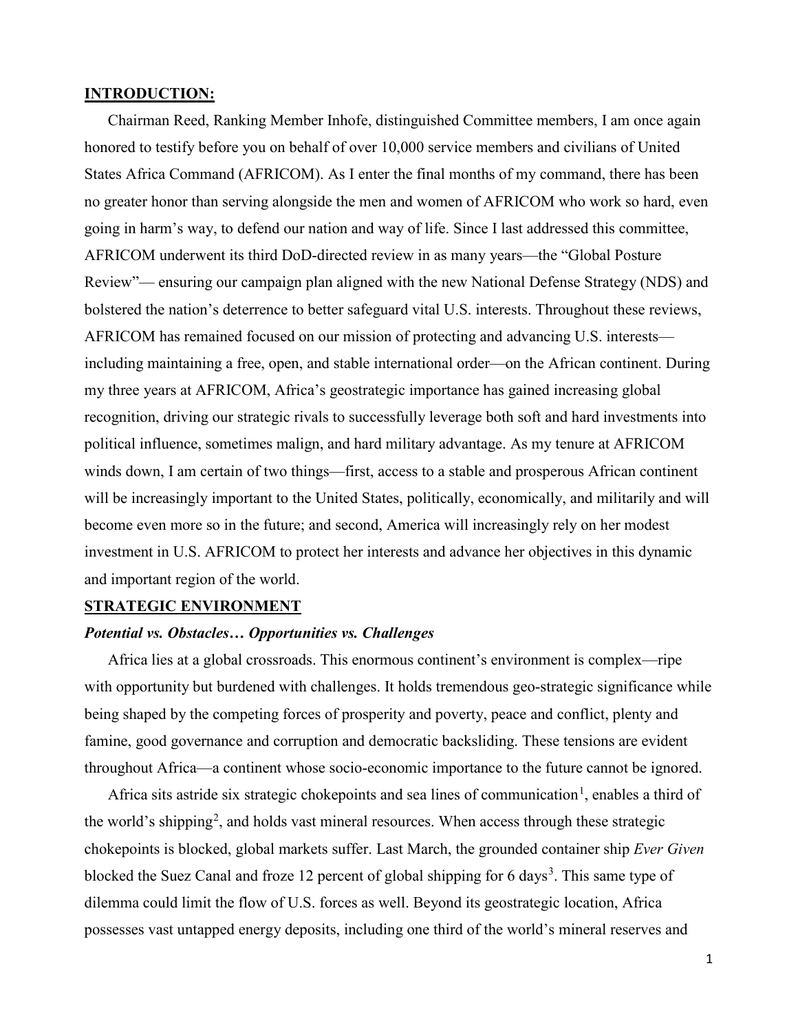# **INTRODUCTION:**

Chairman Reed, Ranking Member Inhofe, distinguished Committee members, I am once again honored to testify before you on behalf of over 10,000 service members and civilians of United States Africa Command (AFRICOM). As I enter the final months of my command, there has been no greater honor than serving alongside the men and women of AFRICOM who work so hard, even going in harm's way, to defend our nation and way of life. Since I last addressed this committee, AFRICOM underwent its third DoD-directed review in as many years—the "Global Posture Review"— ensuring our campaign plan aligned with the new National Defense Strategy (NDS) and bolstered the nation's deterrence to better safeguard vital U.S. interests. Throughout these reviews, AFRICOM has remained focused on our mission of protecting and advancing U.S. interests including maintaining a free, open, and stable international order—on the African continent. During my three years at AFRICOM, Africa's geostrategic importance has gained increasing global recognition, driving our strategic rivals to successfully leverage both soft and hard investments into political influence, sometimes malign, and hard military advantage. As my tenure at AFRICOM winds down, I am certain of two things—first, access to a stable and prosperous African continent will be increasingly important to the United States, politically, economically, and militarily and will become even more so in the future; and second, America will increasingly rely on her modest investment in U.S. AFRICOM to protect her interests and advance her objectives in this dynamic and important region of the world.

### **STRATEGIC ENVIRONMENT**

# *Potential vs. Obstacles… Opportunities vs. Challenges*

Africa lies at a global crossroads. This enormous continent's environment is complex—ripe with opportunity but burdened with challenges. It holds tremendous geo-strategic significance while being shaped by the competing forces of prosperity and poverty, peace and conflict, plenty and famine, good governance and corruption and democratic backsliding. These tensions are evident throughout Africa—a continent whose socio-economic importance to the future cannot be ignored.

Africa sits astride six strategic chokepoints and sea lines of communication<sup>[1](#page-2-0)</sup>, enables a third of the world's shipping<sup>[2](#page-2-1)</sup>, and holds vast mineral resources. When access through these strategic chokepoints is blocked, global markets suffer. Last March, the grounded container ship *Ever Given* blocked the Suez Canal and froze 12 percent of global shipping for 6 days<sup>[3](#page-2-2)</sup>. This same type of dilemma could limit the flow of U.S. forces as well. Beyond its geostrategic location, Africa possesses vast untapped energy deposits, including one third of the world's mineral reserves and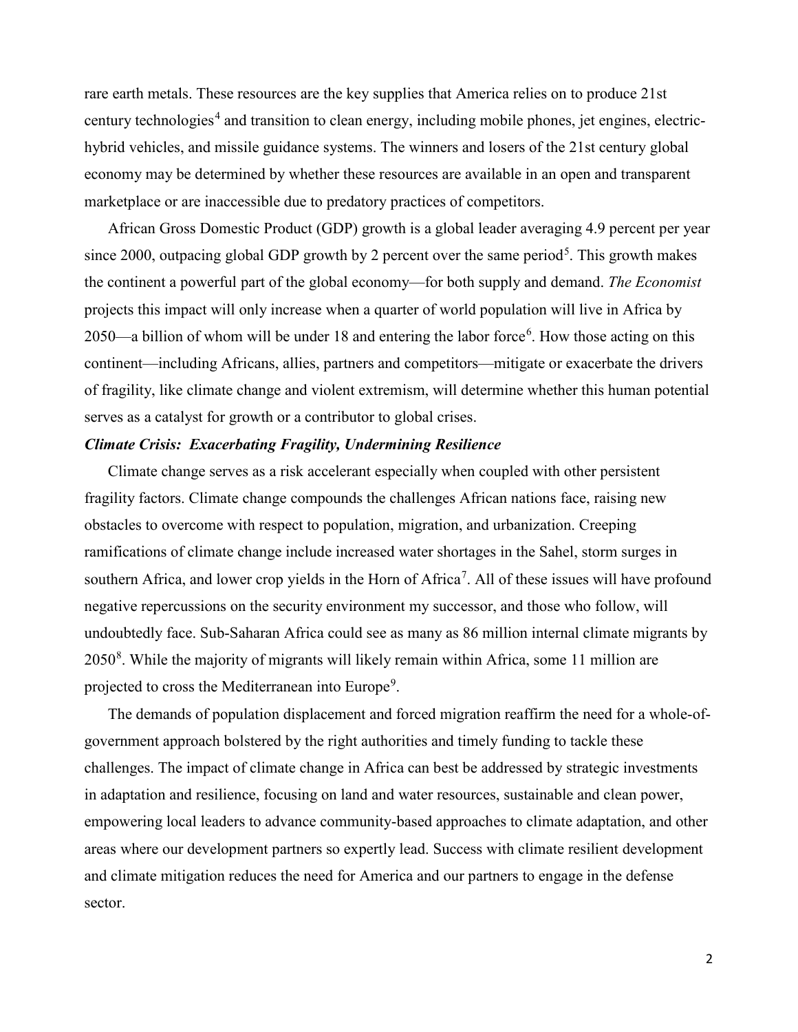<span id="page-2-1"></span><span id="page-2-0"></span>rare earth metals. These resources are the key supplies that America relies on to produce 21st century technologies<sup>[4](#page-2-3)</sup> and transition to clean energy, including mobile phones, jet engines, electrichybrid vehicles, and missile guidance systems. The winners and losers of the 21st century global economy may be determined by whether these resources are available in an open and transparent marketplace or are inaccessible due to predatory practices of competitors.

<span id="page-2-11"></span><span id="page-2-10"></span><span id="page-2-9"></span><span id="page-2-8"></span><span id="page-2-7"></span><span id="page-2-6"></span><span id="page-2-5"></span><span id="page-2-4"></span><span id="page-2-3"></span><span id="page-2-2"></span>African Gross Domestic Product (GDP) growth is a global leader averaging 4.9 percent per year since 2000, outpacing global GDP growth by 2 percent over the same period<sup>[5](#page-2-4)</sup>. This growth makes the continent a powerful part of the global economy—for both supply and demand. *The Economist* projects this impact will only increase when a quarter of world population will live in Africa by 2050—a billion of whom will be under 18 and entering the labor force<sup>[6](#page-2-5)</sup>. How those acting on this continent—including Africans, allies, partners and competitors—mitigate or exacerbate the drivers of fragility, like climate change and violent extremism, will determine whether this human potential serves as a catalyst for growth or a contributor to global crises.

# <span id="page-2-18"></span><span id="page-2-17"></span><span id="page-2-16"></span><span id="page-2-15"></span><span id="page-2-14"></span><span id="page-2-13"></span><span id="page-2-12"></span>*Climate Crisis: Exacerbating Fragility, Undermining Resilience*

<span id="page-2-22"></span><span id="page-2-21"></span><span id="page-2-20"></span><span id="page-2-19"></span>Climate change serves as a risk accelerant especially when coupled with other persistent fragility factors. Climate change compounds the challenges African nations face, raising new obstacles to overcome with respect to population, migration, and urbanization. Creeping ramifications of climate change include increased water shortages in the Sahel, storm surges in southern Africa, and lower crop yields in the Horn of Africa<sup>[7](#page-2-6)</sup>. All of these issues will have profound negative repercussions on the security environment my successor, and those who follow, will undoubtedly face. Sub-Saharan Africa could see as many as 86 million internal climate migrants by 2050<sup>[8](#page-2-7)</sup>. While the majority of migrants will likely remain within Africa, some 11 million are projected to cross the Mediterranean into Europe<sup>[9](#page-2-8)</sup>.

The demands of population displacement and forced migration reaffirm the need for a whole-ofgovernment approach bolstered by the right authorities and timely funding to tackle these challenges. The impact of climate change in Africa can best be addressed by strategic investments in adaptation and resilience, focusing on land and water resources, sustainable and clean power, empowering local leaders to advance community-based approaches to climate adaptation, and other areas where our development partners so expertly lead. Success with climate resilient development and climate mitigation reduces the need for America and our partners to engage in the defense sector.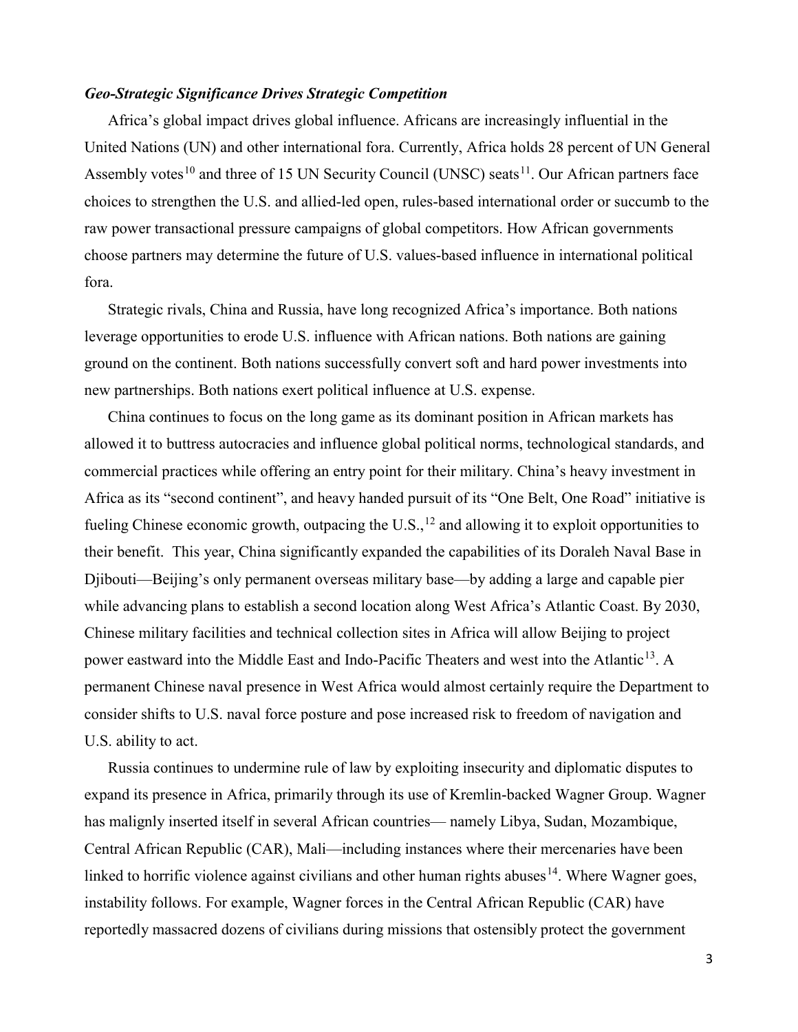# *Geo-Strategic Significance Drives Strategic Competition*

Africa's global impact drives global influence. Africans are increasingly influential in the United Nations (UN) and other international fora. Currently, Africa holds 28 percent of UN General Assembly votes<sup>[10](#page-2-9)</sup> and three of 15 UN Security Council (UNSC) seats<sup>[11](#page-2-10)</sup>. Our African partners face choices to strengthen the U.S. and allied-led open, rules-based international order or succumb to the raw power transactional pressure campaigns of global competitors. How African governments choose partners may determine the future of U.S. values-based influence in international political fora.

Strategic rivals, China and Russia, have long recognized Africa's importance. Both nations leverage opportunities to erode U.S. influence with African nations. Both nations are gaining ground on the continent. Both nations successfully convert soft and hard power investments into new partnerships. Both nations exert political influence at U.S. expense.

China continues to focus on the long game as its dominant position in African markets has allowed it to buttress autocracies and influence global political norms, technological standards, and commercial practices while offering an entry point for their military. China's heavy investment in Africa as its "second continent", and heavy handed pursuit of its "One Belt, One Road" initiative is fueling Chinese economic growth, outpacing the  $U.S.,<sup>12</sup>$  $U.S.,<sup>12</sup>$  $U.S.,<sup>12</sup>$  and allowing it to exploit opportunities to their benefit. This year, China significantly expanded the capabilities of its Doraleh Naval Base in Djibouti—Beijing's only permanent overseas military base—by adding a large and capable pier while advancing plans to establish a second location along West Africa's Atlantic Coast. By 2030, Chinese military facilities and technical collection sites in Africa will allow Beijing to project power eastward into the Middle East and Indo-Pacific Theaters and west into the Atlantic<sup>13</sup>. A permanent Chinese naval presence in West Africa would almost certainly require the Department to consider shifts to U.S. naval force posture and pose increased risk to freedom of navigation and U.S. ability to act.

Russia continues to undermine rule of law by exploiting insecurity and diplomatic disputes to expand its presence in Africa, primarily through its use of Kremlin-backed Wagner Group. Wagner has malignly inserted itself in several African countries— namely Libya, Sudan, Mozambique, Central African Republic (CAR), Mali—including instances where their mercenaries have been linked to horrific violence against civilians and other human rights abuses  $14$ . Where Wagner goes, instability follows. For example, Wagner forces in the Central African Republic (CAR) have reportedly massacred dozens of civilians during missions that ostensibly protect the government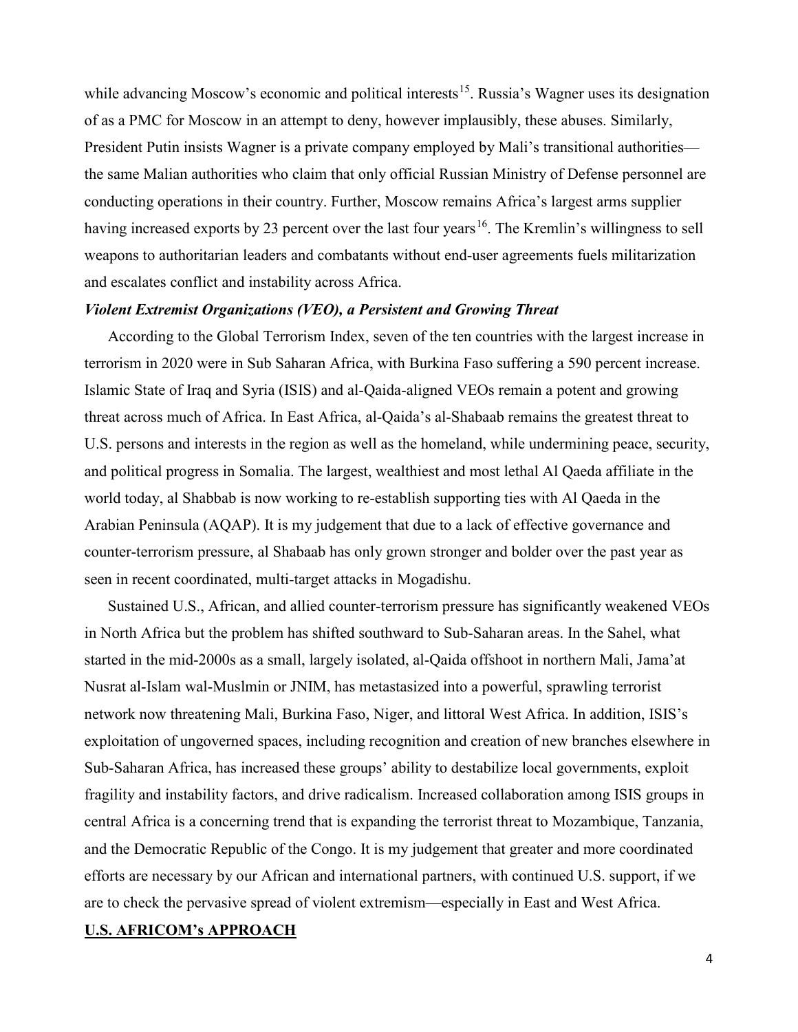while advancing Moscow's economic and political interests<sup>15</sup>. Russia's Wagner uses its designation of as a PMC for Moscow in an attempt to deny, however implausibly, these abuses. Similarly, President Putin insists Wagner is a private company employed by Mali's transitional authorities the same Malian authorities who claim that only official Russian Ministry of Defense personnel are conducting operations in their country. Further, Moscow remains Africa's largest arms supplier having increased exports by 23 percent over the last four years<sup>[16](#page-2-15)</sup>. The Kremlin's willingness to sell weapons to authoritarian leaders and combatants without end-user agreements fuels militarization and escalates conflict and instability across Africa.

#### *Violent Extremist Organizations (VEO), a Persistent and Growing Threat*

According to the Global Terrorism Index, seven of the ten countries with the largest increase in terrorism in 2020 were in Sub Saharan Africa, with Burkina Faso suffering a 590 percent increase. Islamic State of Iraq and Syria (ISIS) and al-Qaida-aligned VEOs remain a potent and growing threat across much of Africa. In East Africa, al-Qaida's al-Shabaab remains the greatest threat to U.S. persons and interests in the region as well as the homeland, while undermining peace, security, and political progress in Somalia. The largest, wealthiest and most lethal Al Qaeda affiliate in the world today, al Shabbab is now working to re-establish supporting ties with Al Qaeda in the Arabian Peninsula (AQAP). It is my judgement that due to a lack of effective governance and counter-terrorism pressure, al Shabaab has only grown stronger and bolder over the past year as seen in recent coordinated, multi-target attacks in Mogadishu.

Sustained U.S., African, and allied counter-terrorism pressure has significantly weakened VEOs in North Africa but the problem has shifted southward to Sub-Saharan areas. In the Sahel, what started in the mid-2000s as a small, largely isolated, al-Qaida offshoot in northern Mali, Jama'at Nusrat al-Islam wal-Muslmin or JNIM, has metastasized into a powerful, sprawling terrorist network now threatening Mali, Burkina Faso, Niger, and littoral West Africa. In addition, ISIS's exploitation of ungoverned spaces, including recognition and creation of new branches elsewhere in Sub-Saharan Africa, has increased these groups' ability to destabilize local governments, exploit fragility and instability factors, and drive radicalism. Increased collaboration among ISIS groups in central Africa is a concerning trend that is expanding the terrorist threat to Mozambique, Tanzania, and the Democratic Republic of the Congo. It is my judgement that greater and more coordinated efforts are necessary by our African and international partners, with continued U.S. support, if we are to check the pervasive spread of violent extremism—especially in East and West Africa.

# **U.S. AFRICOM's APPROACH**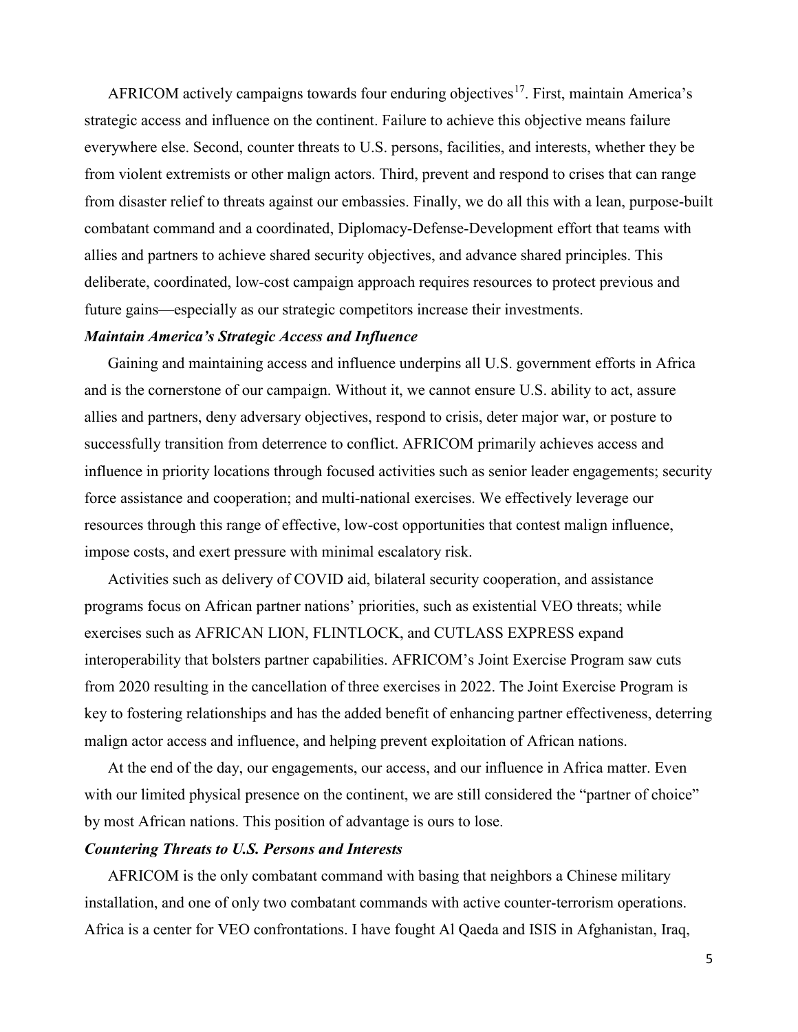AFRICOM actively campaigns towards four enduring objectives<sup>17</sup>. First, maintain America's strategic access and influence on the continent. Failure to achieve this objective means failure everywhere else. Second, counter threats to U.S. persons, facilities, and interests, whether they be from violent extremists or other malign actors. Third, prevent and respond to crises that can range from disaster relief to threats against our embassies. Finally, we do all this with a lean, purpose-built combatant command and a coordinated, Diplomacy-Defense-Development effort that teams with allies and partners to achieve shared security objectives, and advance shared principles. This deliberate, coordinated, low-cost campaign approach requires resources to protect previous and future gains—especially as our strategic competitors increase their investments.

### *Maintain America's Strategic Access and Influence*

Gaining and maintaining access and influence underpins all U.S. government efforts in Africa and is the cornerstone of our campaign. Without it, we cannot ensure U.S. ability to act, assure allies and partners, deny adversary objectives, respond to crisis, deter major war, or posture to successfully transition from deterrence to conflict. AFRICOM primarily achieves access and influence in priority locations through focused activities such as senior leader engagements; security force assistance and cooperation; and multi-national exercises. We effectively leverage our resources through this range of effective, low-cost opportunities that contest malign influence, impose costs, and exert pressure with minimal escalatory risk.

Activities such as delivery of COVID aid, bilateral security cooperation, and assistance programs focus on African partner nations' priorities, such as existential VEO threats; while exercises such as AFRICAN LION, FLINTLOCK, and CUTLASS EXPRESS expand interoperability that bolsters partner capabilities. AFRICOM's Joint Exercise Program saw cuts from 2020 resulting in the cancellation of three exercises in 2022. The Joint Exercise Program is key to fostering relationships and has the added benefit of enhancing partner effectiveness, deterring malign actor access and influence, and helping prevent exploitation of African nations.

At the end of the day, our engagements, our access, and our influence in Africa matter. Even with our limited physical presence on the continent, we are still considered the "partner of choice" by most African nations. This position of advantage is ours to lose.

### *Countering Threats to U.S. Persons and Interests*

AFRICOM is the only combatant command with basing that neighbors a Chinese military installation, and one of only two combatant commands with active counter-terrorism operations. Africa is a center for VEO confrontations. I have fought Al Qaeda and ISIS in Afghanistan, Iraq,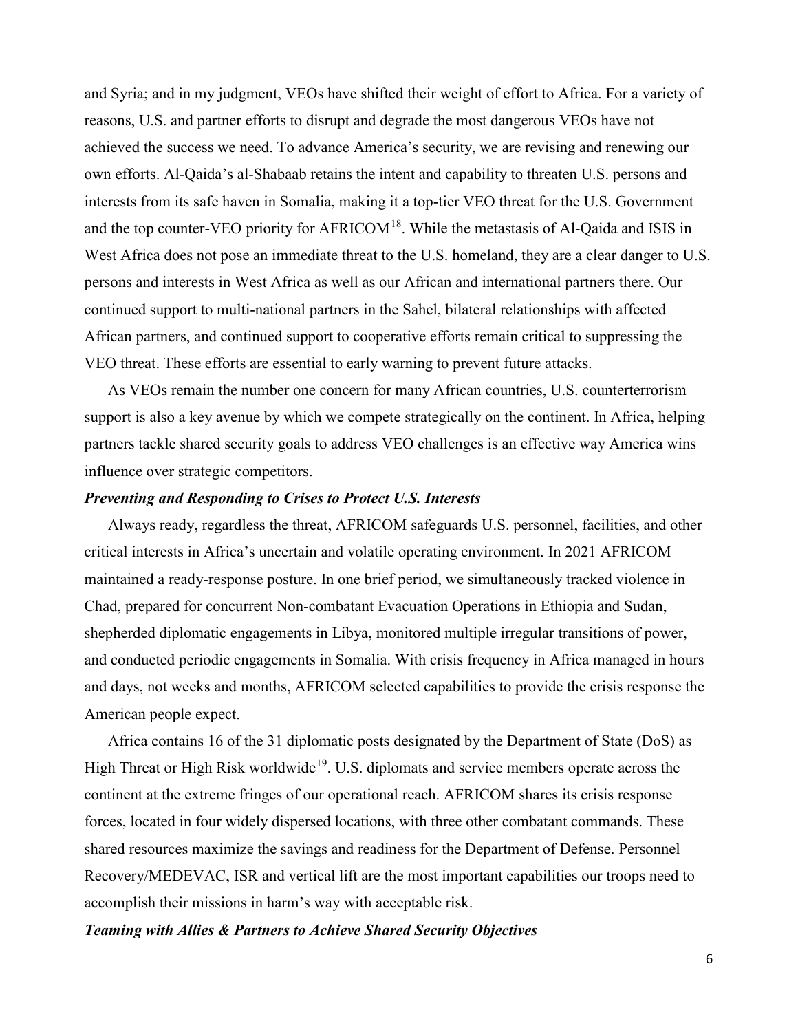and Syria; and in my judgment, VEOs have shifted their weight of effort to Africa. For a variety of reasons, U.S. and partner efforts to disrupt and degrade the most dangerous VEOs have not achieved the success we need. To advance America's security, we are revising and renewing our own efforts. Al-Qaida's al-Shabaab retains the intent and capability to threaten U.S. persons and interests from its safe haven in Somalia, making it a top-tier VEO threat for the U.S. Government and the top counter-VEO priority for AFRICOM<sup>[18](#page-2-17)</sup>. While the metastasis of Al-Qaida and ISIS in West Africa does not pose an immediate threat to the U.S. homeland, they are a clear danger to U.S. persons and interests in West Africa as well as our African and international partners there. Our continued support to multi-national partners in the Sahel, bilateral relationships with affected African partners, and continued support to cooperative efforts remain critical to suppressing the VEO threat. These efforts are essential to early warning to prevent future attacks.

As VEOs remain the number one concern for many African countries, U.S. counterterrorism support is also a key avenue by which we compete strategically on the continent. In Africa, helping partners tackle shared security goals to address VEO challenges is an effective way America wins influence over strategic competitors.

#### *Preventing and Responding to Crises to Protect U.S. Interests*

Always ready, regardless the threat, AFRICOM safeguards U.S. personnel, facilities, and other critical interests in Africa's uncertain and volatile operating environment. In 2021 AFRICOM maintained a ready-response posture. In one brief period, we simultaneously tracked violence in Chad, prepared for concurrent Non-combatant Evacuation Operations in Ethiopia and Sudan, shepherded diplomatic engagements in Libya, monitored multiple irregular transitions of power, and conducted periodic engagements in Somalia. With crisis frequency in Africa managed in hours and days, not weeks and months, AFRICOM selected capabilities to provide the crisis response the American people expect.

Africa contains 16 of the 31 diplomatic posts designated by the Department of State (DoS) as High Threat or High Risk worldwide<sup>[19](#page-2-18)</sup>. U.S. diplomats and service members operate across the continent at the extreme fringes of our operational reach. AFRICOM shares its crisis response forces, located in four widely dispersed locations, with three other combatant commands. These shared resources maximize the savings and readiness for the Department of Defense. Personnel Recovery/MEDEVAC, ISR and vertical lift are the most important capabilities our troops need to accomplish their missions in harm's way with acceptable risk.

#### *Teaming with Allies & Partners to Achieve Shared Security Objectives*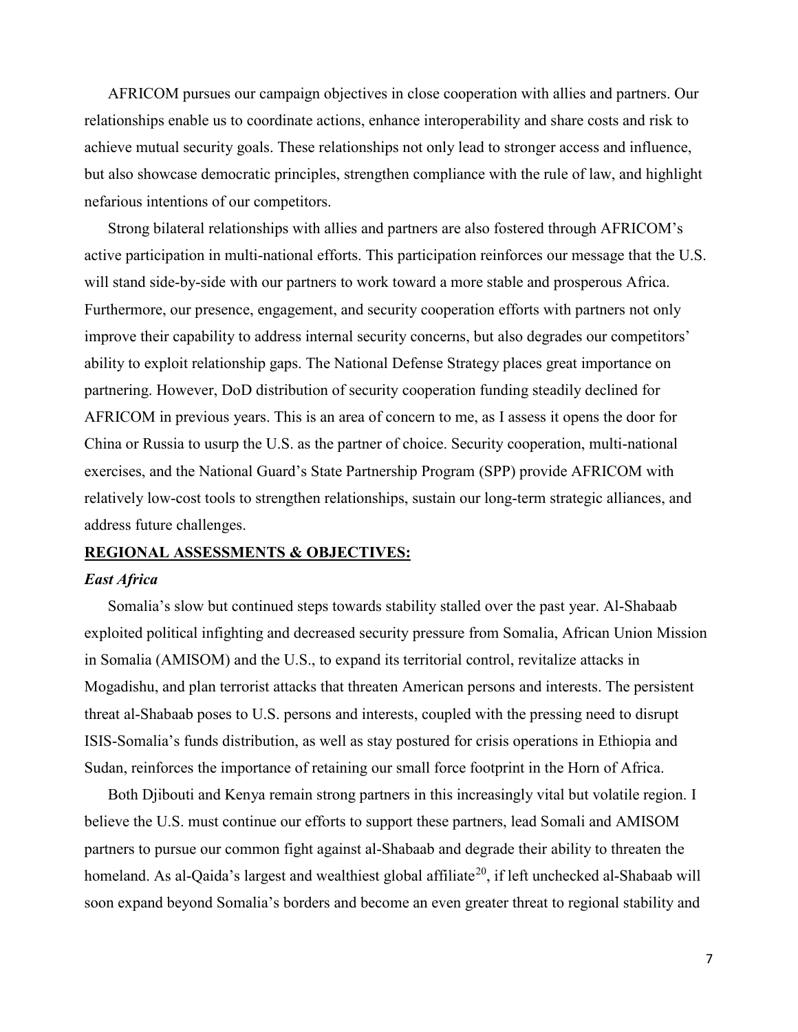AFRICOM pursues our campaign objectives in close cooperation with allies and partners. Our relationships enable us to coordinate actions, enhance interoperability and share costs and risk to achieve mutual security goals. These relationships not only lead to stronger access and influence, but also showcase democratic principles, strengthen compliance with the rule of law, and highlight nefarious intentions of our competitors.

Strong bilateral relationships with allies and partners are also fostered through AFRICOM's active participation in multi-national efforts. This participation reinforces our message that the U.S. will stand side-by-side with our partners to work toward a more stable and prosperous Africa. Furthermore, our presence, engagement, and security cooperation efforts with partners not only improve their capability to address internal security concerns, but also degrades our competitors' ability to exploit relationship gaps. The National Defense Strategy places great importance on partnering. However, DoD distribution of security cooperation funding steadily declined for AFRICOM in previous years. This is an area of concern to me, as I assess it opens the door for China or Russia to usurp the U.S. as the partner of choice. Security cooperation, multi-national exercises, and the National Guard's State Partnership Program (SPP) provide AFRICOM with relatively low-cost tools to strengthen relationships, sustain our long-term strategic alliances, and address future challenges.

# **REGIONAL ASSESSMENTS & OBJECTIVES:**

# *East Africa*

Somalia's slow but continued steps towards stability stalled over the past year. Al-Shabaab exploited political infighting and decreased security pressure from Somalia, African Union Mission in Somalia (AMISOM) and the U.S., to expand its territorial control, revitalize attacks in Mogadishu, and plan terrorist attacks that threaten American persons and interests. The persistent threat al-Shabaab poses to U.S. persons and interests, coupled with the pressing need to disrupt ISIS-Somalia's funds distribution, as well as stay postured for crisis operations in Ethiopia and Sudan, reinforces the importance of retaining our small force footprint in the Horn of Africa.

Both Djibouti and Kenya remain strong partners in this increasingly vital but volatile region. I believe the U.S. must continue our efforts to support these partners, lead Somali and AMISOM partners to pursue our common fight against al-Shabaab and degrade their ability to threaten the homeland. As al-Qaida's largest and wealthiest global affiliate<sup>[20](#page-2-19)</sup>, if left unchecked al-Shabaab will soon expand beyond Somalia's borders and become an even greater threat to regional stability and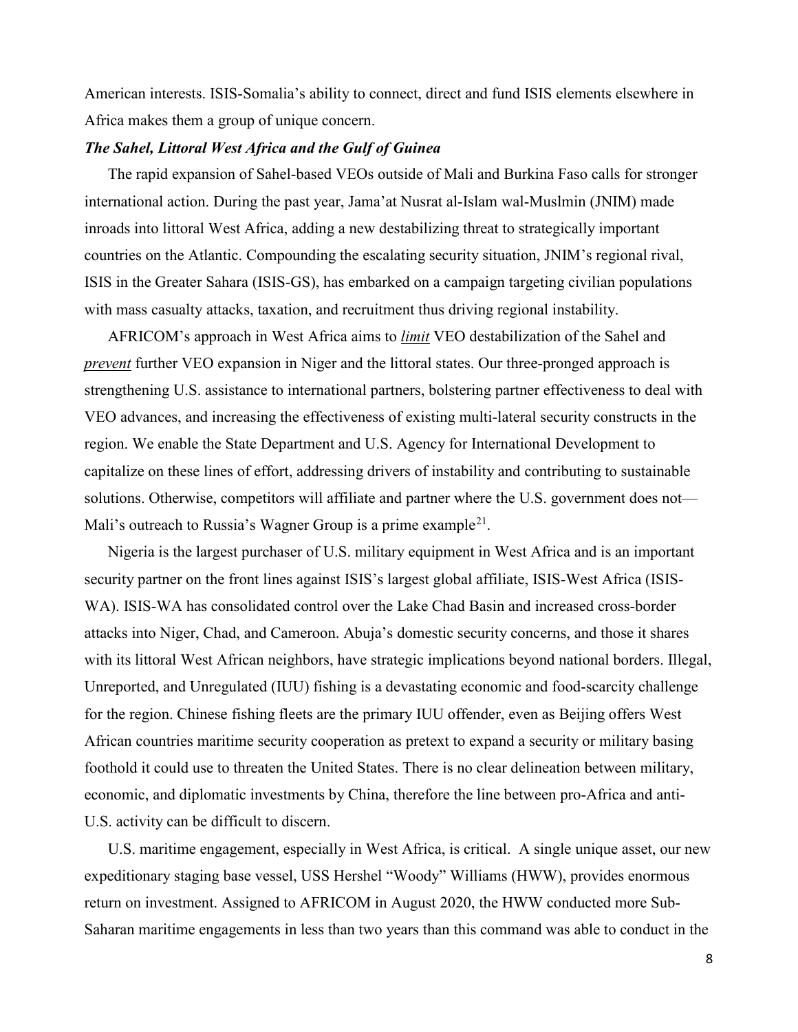American interests. ISIS-Somalia's ability to connect, direct and fund ISIS elements elsewhere in Africa makes them a group of unique concern.

# *The Sahel, Littoral West Africa and the Gulf of Guinea*

The rapid expansion of Sahel-based VEOs outside of Mali and Burkina Faso calls for stronger international action. During the past year, Jama'at Nusrat al-Islam wal-Muslmin (JNIM) made inroads into littoral West Africa, adding a new destabilizing threat to strategically important countries on the Atlantic. Compounding the escalating security situation, JNIM's regional rival, ISIS in the Greater Sahara (ISIS-GS), has embarked on a campaign targeting civilian populations with mass casualty attacks, taxation, and recruitment thus driving regional instability.

AFRICOM's approach in West Africa aims to *limit* VEO destabilization of the Sahel and *prevent* further VEO expansion in Niger and the littoral states. Our three-pronged approach is strengthening U.S. assistance to international partners, bolstering partner effectiveness to deal with VEO advances, and increasing the effectiveness of existing multi-lateral security constructs in the region. We enable the State Department and U.S. Agency for International Development to capitalize on these lines of effort, addressing drivers of instability and contributing to sustainable solutions. Otherwise, competitors will affiliate and partner where the U.S. government does not— Mali's outreach to Russia's Wagner Group is a prime example<sup>21</sup>.

Nigeria is the largest purchaser of U.S. military equipment in West Africa and is an important security partner on the front lines against ISIS's largest global affiliate, ISIS-West Africa (ISIS-WA). ISIS-WA has consolidated control over the Lake Chad Basin and increased cross-border attacks into Niger, Chad, and Cameroon. Abuja's domestic security concerns, and those it shares with its littoral West African neighbors, have strategic implications beyond national borders. Illegal, Unreported, and Unregulated (IUU) fishing is a devastating economic and food-scarcity challenge for the region. Chinese fishing fleets are the primary IUU offender, even as Beijing offers West African countries maritime security cooperation as pretext to expand a security or military basing foothold it could use to threaten the United States. There is no clear delineation between military, economic, and diplomatic investments by China, therefore the line between pro-Africa and anti-U.S. activity can be difficult to discern.

U.S. maritime engagement, especially in West Africa, is critical. A single unique asset, our new expeditionary staging base vessel, USS Hershel "Woody" Williams (HWW), provides enormous return on investment. Assigned to AFRICOM in August 2020, the HWW conducted more Sub-Saharan maritime engagements in less than two years than this command was able to conduct in the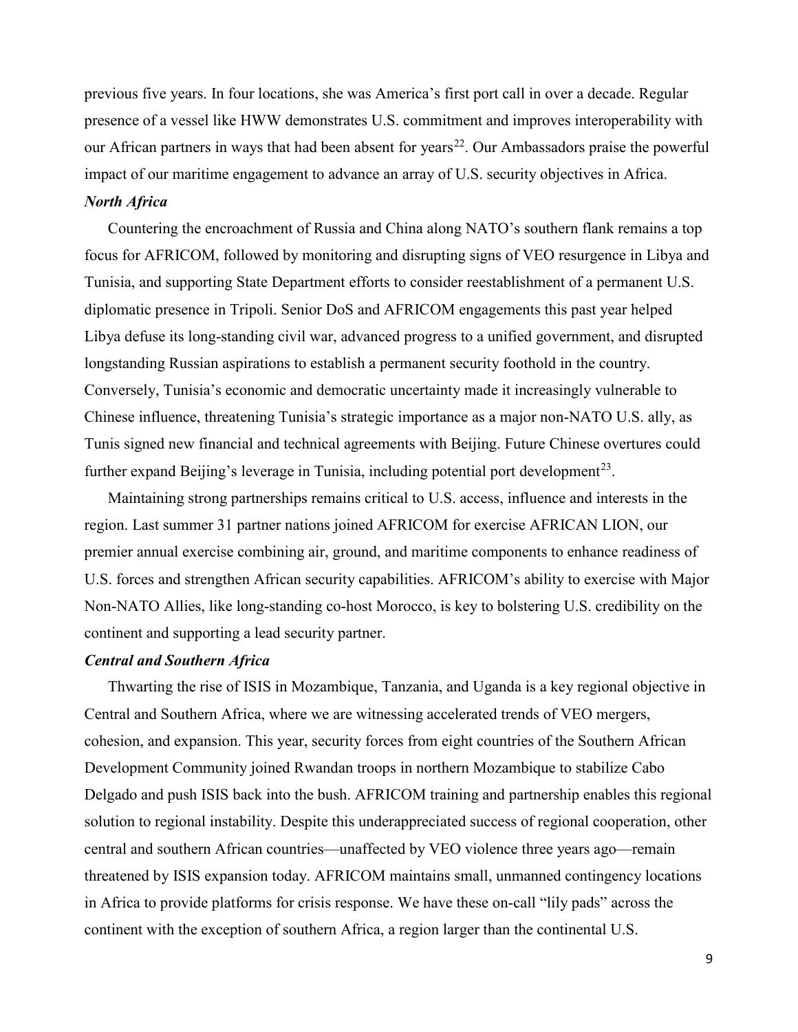previous five years. In four locations, she was America's first port call in over a decade. Regular presence of a vessel like HWW demonstrates U.S. commitment and improves interoperability with our African partners in ways that had been absent for years<sup>22</sup>. Our Ambassadors praise the powerful impact of our maritime engagement to advance an array of U.S. security objectives in Africa.

### *North Africa*

Countering the encroachment of Russia and China along NATO's southern flank remains a top focus for AFRICOM, followed by monitoring and disrupting signs of VEO resurgence in Libya and Tunisia, and supporting State Department efforts to consider reestablishment of a permanent U.S. diplomatic presence in Tripoli. Senior DoS and AFRICOM engagements this past year helped Libya defuse its long-standing civil war, advanced progress to a unified government, and disrupted longstanding Russian aspirations to establish a permanent security foothold in the country. Conversely, Tunisia's economic and democratic uncertainty made it increasingly vulnerable to Chinese influence, threatening Tunisia's strategic importance as a major non-NATO U.S. ally, as Tunis signed new financial and technical agreements with Beijing. Future Chinese overtures could further expand Beijing's leverage in Tunisia, including potential port development<sup>[23](#page-2-22)</sup>.

Maintaining strong partnerships remains critical to U.S. access, influence and interests in the region. Last summer 31 partner nations joined AFRICOM for exercise AFRICAN LION, our premier annual exercise combining air, ground, and maritime components to enhance readiness of U.S. forces and strengthen African security capabilities. AFRICOM's ability to exercise with Major Non-NATO Allies, like long-standing co-host Morocco, is key to bolstering U.S. credibility on the continent and supporting a lead security partner.

# *Central and Southern Africa*

Thwarting the rise of ISIS in Mozambique, Tanzania, and Uganda is a key regional objective in Central and Southern Africa, where we are witnessing accelerated trends of VEO mergers, cohesion, and expansion. This year, security forces from eight countries of the Southern African Development Community joined Rwandan troops in northern Mozambique to stabilize Cabo Delgado and push ISIS back into the bush. AFRICOM training and partnership enables this regional solution to regional instability. Despite this underappreciated success of regional cooperation, other central and southern African countries—unaffected by VEO violence three years ago—remain threatened by ISIS expansion today. AFRICOM maintains small, unmanned contingency locations in Africa to provide platforms for crisis response. We have these on-call "lily pads" across the continent with the exception of southern Africa, a region larger than the continental U.S.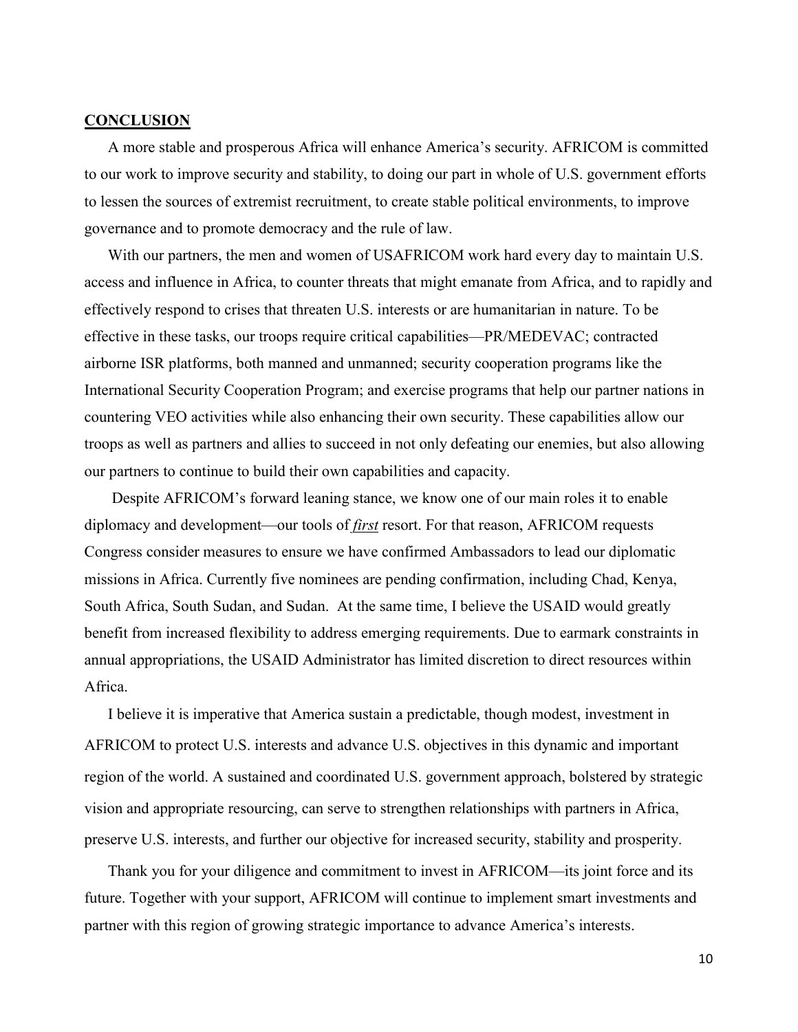# **CONCLUSION**

A more stable and prosperous Africa will enhance America's security. AFRICOM is committed to our work to improve security and stability, to doing our part in whole of U.S. government efforts to lessen the sources of extremist recruitment, to create stable political environments, to improve governance and to promote democracy and the rule of law.

With our partners, the men and women of USAFRICOM work hard every day to maintain U.S. access and influence in Africa, to counter threats that might emanate from Africa, and to rapidly and effectively respond to crises that threaten U.S. interests or are humanitarian in nature. To be effective in these tasks, our troops require critical capabilities—PR/MEDEVAC; contracted airborne ISR platforms, both manned and unmanned; security cooperation programs like the International Security Cooperation Program; and exercise programs that help our partner nations in countering VEO activities while also enhancing their own security. These capabilities allow our troops as well as partners and allies to succeed in not only defeating our enemies, but also allowing our partners to continue to build their own capabilities and capacity.

Despite AFRICOM's forward leaning stance, we know one of our main roles it to enable diplomacy and development—our tools of *first* resort. For that reason, AFRICOM requests Congress consider measures to ensure we have confirmed Ambassadors to lead our diplomatic missions in Africa. Currently five nominees are pending confirmation, including Chad, Kenya, South Africa, South Sudan, and Sudan. At the same time, I believe the USAID would greatly benefit from increased flexibility to address emerging requirements. Due to earmark constraints in annual appropriations, the USAID Administrator has limited discretion to direct resources within Africa.

I believe it is imperative that America sustain a predictable, though modest, investment in AFRICOM to protect U.S. interests and advance U.S. objectives in this dynamic and important region of the world. A sustained and coordinated U.S. government approach, bolstered by strategic vision and appropriate resourcing, can serve to strengthen relationships with partners in Africa, preserve U.S. interests, and further our objective for increased security, stability and prosperity.

Thank you for your diligence and commitment to invest in AFRICOM—its joint force and its future. Together with your support, AFRICOM will continue to implement smart investments and partner with this region of growing strategic importance to advance America's interests.